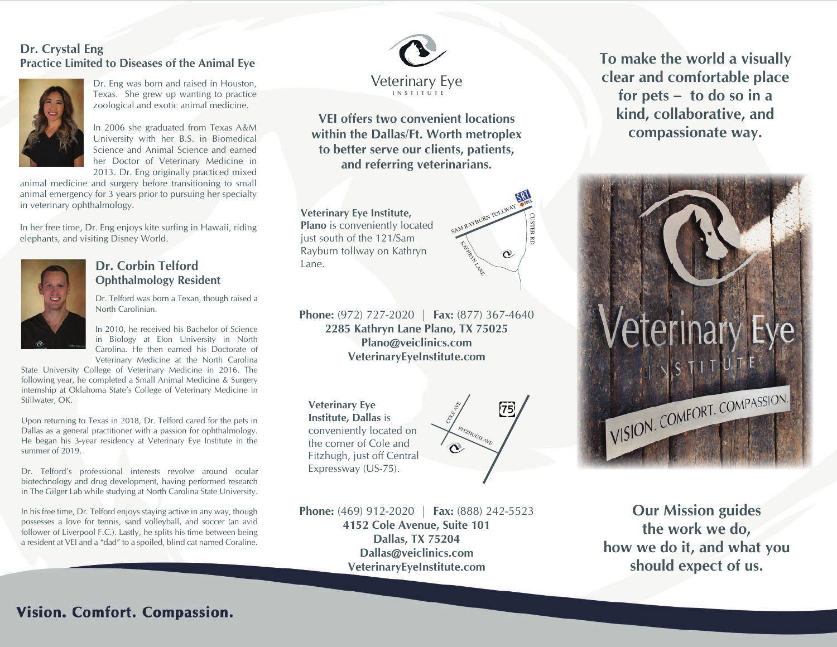#### **BLEED AREA - TO AVOID AREA - TO AVOID AREA extend your image to line the standard box . Standard Practice Limited to Diseases of the Animal Eye Dr. Crystal Eng**



**TRIM BOX - PRIM BOX 20011** and raised in Figures 1.1 and Figure 1.1 and Figure 1.1 and Figure 1.1 and Figure 1.1 and Figure 1.1 and Figure 1.1 and Figure 1.1 and Figure 1.1 and Figure 1.1 and Figure 1.1 and Figure 1.1 and Dr. Eng was born and raised in Houston, zoological and exotic animal medicine.

**SAFE AREA CODE SHE STARTED IN 2006 SHE STARTED IN A LITER AREA CONFIDENTIAL DESIGN OF A LITER AREA CONFIDENTIAL Elements in the State Science and Animal Science and earned** In 2006 she graduated from Texas A&M her Doctor of Veterinary Medicine in 2013. Dr. Eng originally practiced mixed

animal medicine and surgery before transitioning to small animal emergency for 3 years prior to pursuing her specialty in veterinary ophthalmology.

In her free time, Dr. Eng enjoys kite surfing in Hawaii, riding elephants, and visiting Disney World.



## **Dr. Corbin Telford Ophthalmology Resident**

Dr. Telford was born a Texan, though raised a North Carolinian.

In 2010, he received his Bachelor of Science in Biology at Elon University in North Carolina. He then earned his Doctorate of Veterinary Medicine at the North Carolina

State University College of Veterinary Medicine in 2016. The following year, he completed a Small Animal Medicine & Surgery internship at Oklahoma State's College of Veterinary Medicine in Stillwater, OK.

Upon returning to Texas in 2018, Dr. Telford cared for the pets in Dallas as a general practitioner with a passion for ophthalmology. He began his 3-year residency at Veterinary Eye Institute in the summer of 2019.

Dr. Telford's professional interests revolve around ocular biotechnology and drug development, having performed research in The Gilger Lab while studying at North Carolina State University.

In his free time, Dr. Telford enjoys staying active in any way, though possesses a love for tennis, sand volleyball, and soccer (an avid follower of Liverpool F.C.). Lastly, he splits his time between being a resident at VEI and a "dad" to a spoiled, blind cat named Coraline.

**DON'T FORGET to delete all template** 



en<br>rtl<br>ina<br>ina **VEI offers two convenient locations within the Dallas/Ft. Worth metroplex to better serve our clients, patients, and referring veterinarians.**

**Veterinary Eye Institute, Plano** is conveniently located just south of the 121/Sam Rayburn tollway on Kathryn Lane.



**Phone:** (972) 727-2020 | **Fax:** (877) 367-4640 **2285 Kathryn Lane Plano, TX 75025 Plano@veiclinics.com VeterinaryEyeInstitute.com**

**Veterinary Eye Institute, Dallas** is conveniently located on the corner of Cole and Fitzhugh, just off Central Expressway (US-75).



**Phone:** (469) 912-2020 | **Fax:** (888) 242-5523 **4152 Cole Avenue, Suite 101 Dallas, TX 75204 Dallas@veiclinics.com VeterinaryEyeInstitute.com**

**To make the world a visually clear and comfortable place for pets – to do so in a kind, collaborative, and compassionate way.**



**Our Mission guides the work we do, how we do it, and what you should expect of us.**

# **< 3.625 " > < 3.6875 " > < 3.6875 " >**